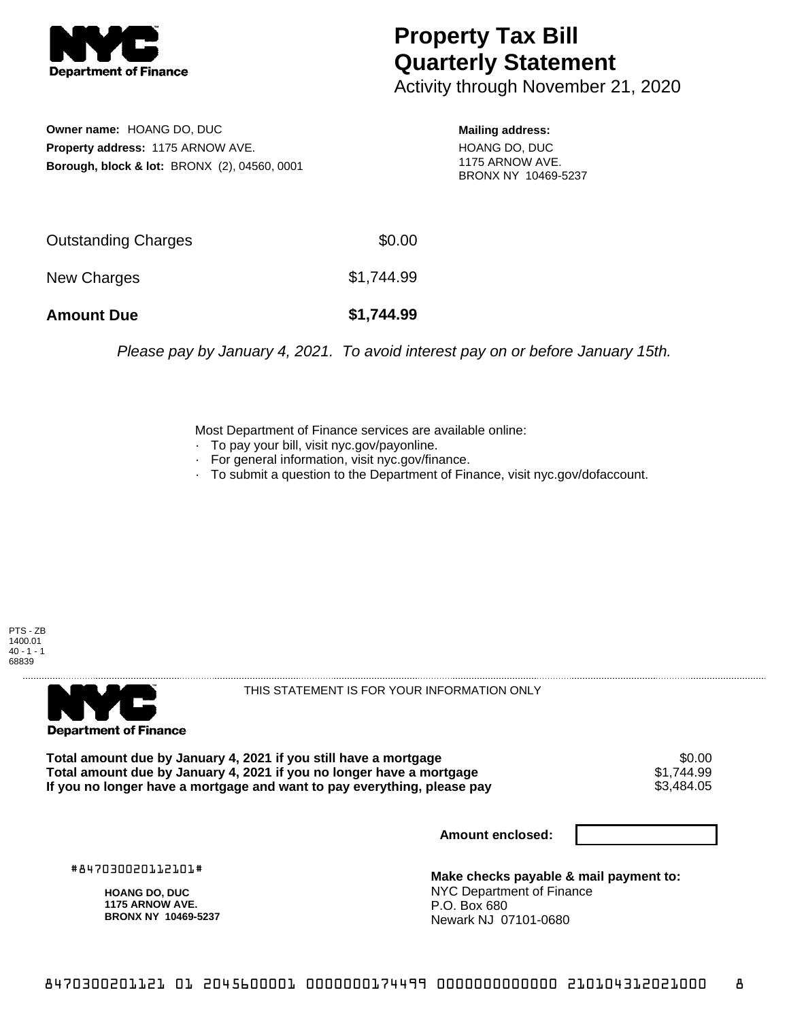

## **Property Tax Bill Quarterly Statement**

Activity through November 21, 2020

**Owner name:** HOANG DO, DUC **Property address:** 1175 ARNOW AVE. **Borough, block & lot:** BRONX (2), 04560, 0001

**Mailing address:** HOANG DO, DUC 1175 ARNOW AVE. BRONX NY 10469-5237

| <b>Amount Due</b>   | \$1,744.99 |
|---------------------|------------|
| New Charges         | \$1,744.99 |
| Outstanding Charges | \$0.00     |

Please pay by January 4, 2021. To avoid interest pay on or before January 15th.

Most Department of Finance services are available online:

- · To pay your bill, visit nyc.gov/payonline.
- For general information, visit nyc.gov/finance.
- · To submit a question to the Department of Finance, visit nyc.gov/dofaccount.

PTS - ZB 1400.01  $40 - 1 - 1$ 68839



THIS STATEMENT IS FOR YOUR INFORMATION ONLY

Total amount due by January 4, 2021 if you still have a mortgage \$0.00<br>Total amount due by January 4, 2021 if you no longer have a mortgage \$1.744.99 **Total amount due by January 4, 2021 if you no longer have a mortgage**  $$1,744.99$ **<br>If you no longer have a mortgage and want to pay everything, please pay <b>show that the summan set of the s** If you no longer have a mortgage and want to pay everything, please pay

**Amount enclosed:**

#847030020112101#

**HOANG DO, DUC 1175 ARNOW AVE. BRONX NY 10469-5237**

**Make checks payable & mail payment to:** NYC Department of Finance P.O. Box 680 Newark NJ 07101-0680